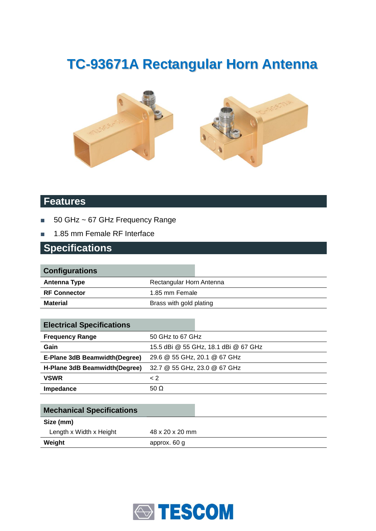# **TC-93671A Rectangular Horn Antenna**





#### **Features**

- 50 GHz ~ 67 GHz Frequency Range
- 1.85 mm Female RF Interface

#### **Specifications**

| <b>Configurations</b> |                          |
|-----------------------|--------------------------|
| <b>Antenna Type</b>   | Rectangular Horn Antenna |
| <b>RF Connector</b>   | 1.85 mm Female           |
| <b>Material</b>       | Brass with gold plating  |
|                       |                          |

| <b>Electrical Specifications</b> |                                      |
|----------------------------------|--------------------------------------|
| <b>Frequency Range</b>           | 50 GHz to 67 GHz                     |
| Gain                             | 15.5 dBi @ 55 GHz, 18.1 dBi @ 67 GHz |
| E-Plane 3dB Beamwidth(Degree)    | 29.6 @ 55 GHz, 20.1 @ 67 GHz         |
| H-Plane 3dB Beamwidth (Degree)   | 32.7 @ 55 GHz, 23.0 @ 67 GHz         |
| <b>VSWR</b>                      | $\leq$ 2                             |
| Impedance                        | 50 $\Omega$                          |

| <b>Mechanical Specifications</b> |                 |
|----------------------------------|-----------------|
| Size (mm)                        |                 |
| Length x Width x Height          | 48 x 20 x 20 mm |
| Weight                           | approx. 60 g    |

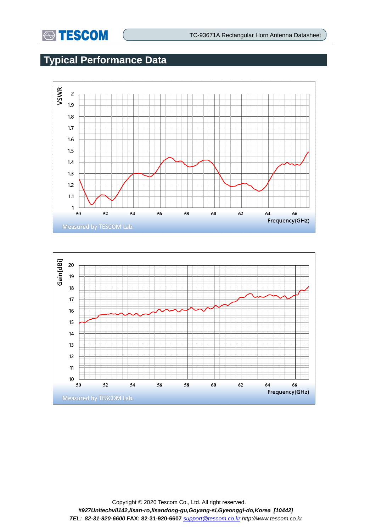

### **Typical Performance Data**



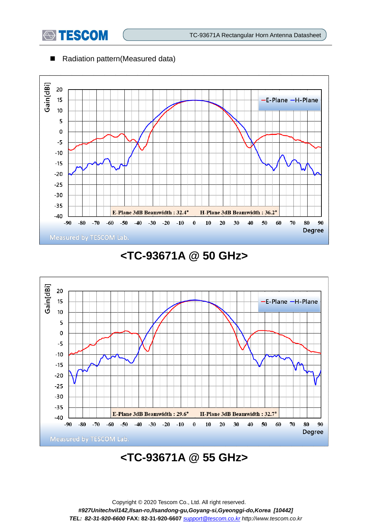

■ Radiation pattern(Measured data)



### **<TC-93671A @ 50 GHz>**



# **<TC-93671A @ 55 GHz>**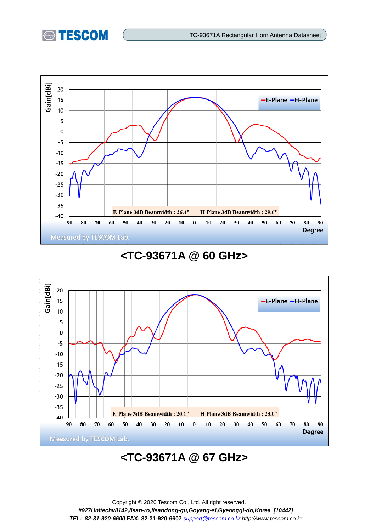



#### **<TC-93671A @ 60 GHz>**



# **<TC-93671A @ 67 GHz>**

Copyright © 2020 Tescom Co., Ltd. All right reserved. *#927Unitechvil142,Ilsan-ro,Ilsandong-gu,Goyang-si,Gyeonggi-do,Korea [10442] TEL: 82-31-920-6600* **FAX: 82-31-920-6607** *[support@tescom.co.kr](mailto:support@tescom.co.kr) http://www.tescom.co.kr*